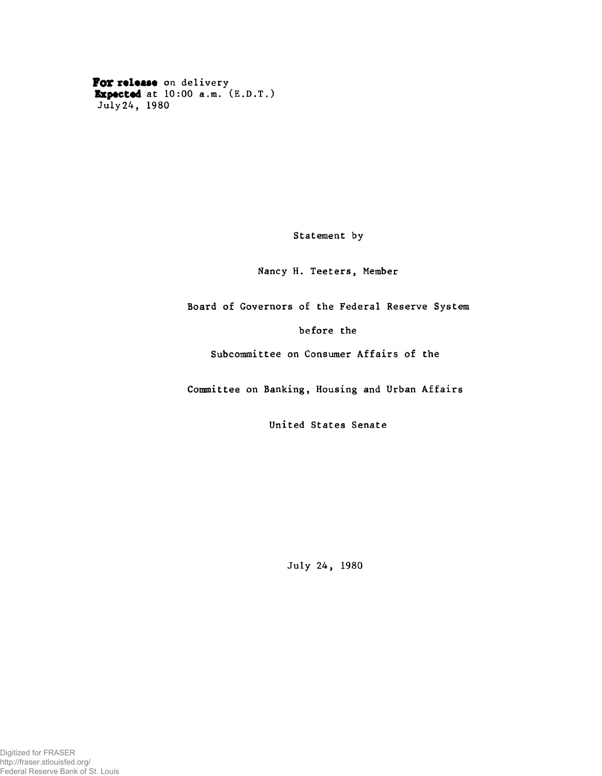For release on delivery Expected at 10:00 a.m. (E.D.T.) July 24, 1980

Statement by

Nancy H. Teeters, Member

Board of Governors of the Federal Reserve System

before the

Subcommittee on Consumer Affairs of the

Committee on Banking, Housing and Urban Affairs

United States Senate

July 24, 1980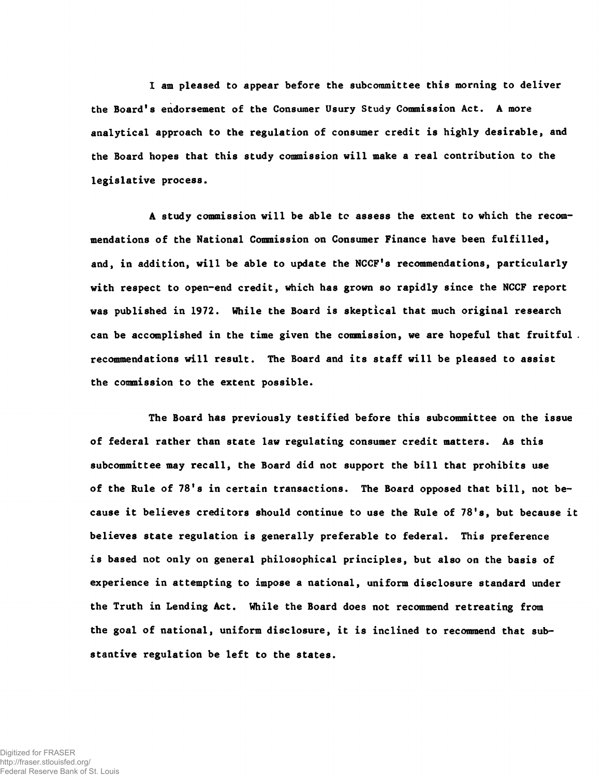I am pleased to appear before the subcommittee this morning to deliver the Board's endorsement of the Consumer Usury Study Commission Act. A more analytical approach to the regulation of consumer credit is highly desirable, and the Board hopes that this study commission will make a real contribution to the legislative process.

A study commission will be able to assess the extent to which the recommendations of the National Commission on Consumer Finance have been fulfilled, and, in addition, will be able to update the NCCF's recommendations, particularly with respect to open-end credit, which has grown so rapidly since the NCCF report was published in 1972. While the Board is skeptical that much original research can be accomplished in the time given the commission, we are hopeful that fruitful . recommendations will result. The Board and its staff will be pleased to assist the commission to the extent possible.

The Board has previously testified before this subcommittee on the issue of federal rather than state law regulating consumer credit matters. As this subcommittee may recall, the Board did not support the bill that prohibits use of the Rule of 78's in certain transactions. The Board opposed that bill, not because it believes creditors should continue to use the Rule of 78's, but because it believes state regulation is generally preferable to federal. This preference is based not only on general philosophical principles, but also on the basis of experience in attempting to impose a national, uniform disclosure standard under the Truth in Lending Act. While the Board does not recommend retreating from the goal of national, uniform disclosure, it is inclined to recommend that substantive regulation be left to the states.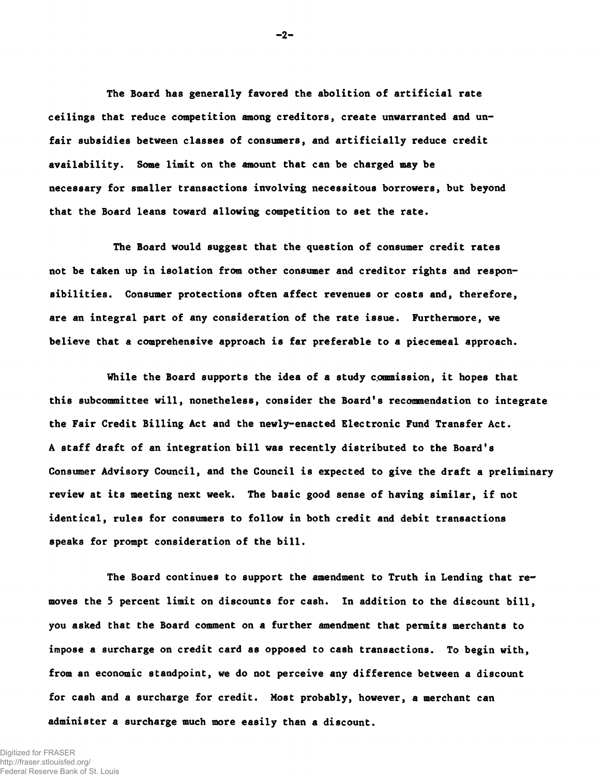The Board has generally favored the abolition of artificial rate ceilings that reduce competition among creditors, create unwarranted and unfair subsidies between classes of consumers, and artificially reduce credit availability. Some limit on the amount that can be charged may be necessary for smaller transactions involving necessitous borrowers, but beyond that the Board leans toward allowing competition to set the rate.

The Board would suggest that the question of consumer credit rates not be taken up in isolation from other consumer and creditor rights and responsibilities. Consumer protections often affect revenues or costs and, therefore, are an integral part of any consideration of the rate issue. Furthermore, we believe that a comprehensive approach is far preferable to a piecemeal approach.

While the Board supports the idea of a study commission, it hopes that this subcommittee will, nonetheless, consider the Board's recommendation to integrate the Fair Credit Billing Act and the newly-enacted Electronic Fund Transfer Act. A staff draft of an integration bill was recently distributed to the Board's Consumer Advisory Council, and the Council is expected to give the draft a preliminary review at its meeting next week. The basic good sense of having similar, if not identical, rules for consumers to follow in both credit and debit transactions speaks for prompt consideration of the bill.

The Board continues to support the amendment to Truth in Lending that removes the 5 percent limit on discounts for cash. In addition to the discount bill, you asked that the Board comment on a further amendment that permits merchants to impose a surcharge on credit card as opposed to cash transactions. To begin with, from an economic standpoint, we do not perceive any difference between a discount for cash and a surcharge for credit. Most probably, however, a merchant can administer a surcharge much more easily than a discount.

**- 2-**